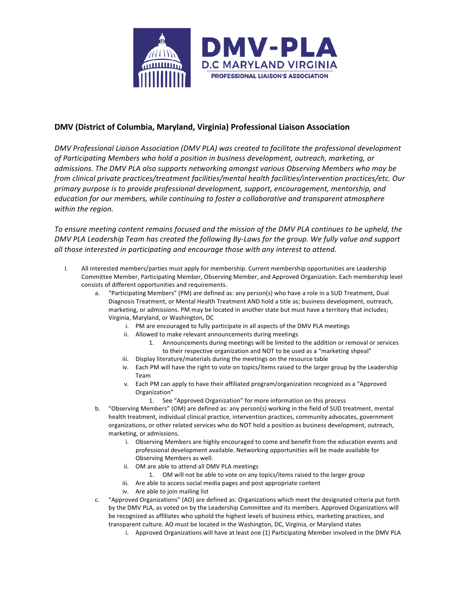

## **DMV (District of Columbia, Maryland, Virginia) Professional Liaison Association**

DMV Professional Liaison Association (DMV PLA) was created to facilitate the professional development of Participating Members who hold a position in business development, outreach, marketing, or admissions. The DMV PLA also supports networking amongst various Observing Members who may be *from clinical private practices/treatment facilities/mental health facilities/intervention practices/etc. Our*  primary purpose is to provide professional development, support, encouragement, mentorship, and *education* for our members, while continuing to foster a collaborative and transparent atmosphere within the region.

To ensure meeting content remains focused and the mission of the DMV PLA continues to be upheld, the DMV PLA Leadership Team has created the following By-Laws for the group. We fully value and support *all* those interested in participating and encourage those with any interest to attend.

- I. All interested members/parties must apply for membership. Current membership opportunities are Leadership Committee Member, Participating Member, Observing Member, and Approved Organization. Each membership level consists of different opportunities and requirements.
	- a. "Participating Members" (PM) are defined as: any person(s) who have a role in a SUD Treatment, Dual Diagnosis Treatment, or Mental Health Treatment AND hold a title as; business development, outreach, marketing, or admissions. PM may be located in another state but must have a territory that includes; Virginia, Maryland, or Washington, DC
		- i. PM are encouraged to fully participate in all aspects of the DMV PLA meetings
		- ii. Allowed to make relevant announcements during meetings
			- 1. Announcements during meetings will be limited to the addition or removal or services to their respective organization and NOT to be used as a "marketing shpeal"
		- iii. Display literature/materials during the meetings on the resource table
		- iv. Each PM will have the right to vote on topics/items raised to the larger group by the Leadership Team
		- v. Each PM can apply to have their affiliated program/organization recognized as a "Approved Organization"
			- 1. See "Approved Organization" for more information on this process
	- b. "Observing Members" (OM) are defined as: any person(s) working in the field of SUD treatment, mental health treatment, individual clinical practice, intervention practices, community advocates, government organizations, or other related services who do NOT hold a position as business development, outreach, marketing, or admissions.
		- i. Observing Members are highly encouraged to come and benefit from the education events and professional development available. Networking opportunities will be made available for Observing Members as well.
		- ii. OM are able to attend all DMV PLA meetings
			- 1. OM will not be able to vote on any topics/items raised to the larger group
		- iii. Are able to access social media pages and post appropriate content
		- iv. Are able to join mailing list
	- c. "Approved Organizations" (AO) are defined as: Organizations which meet the designated criteria put forth by the DMV PLA, as voted on by the Leadership Committee and its members. Approved Organizations will be recognized as affiliates who uphold the highest levels of business ethics, marketing practices, and transparent culture. AO must be located in the Washington, DC, Virginia, or Maryland states
		- i. Approved Organizations will have at least one (1) Participating Member involved in the DMV PLA